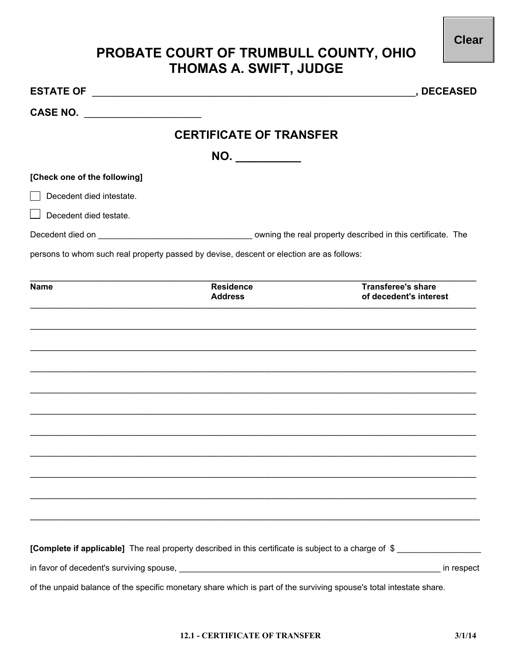## **PROBATE COURT OF TRUMBULL COUNTY, OHIO<br>THOMAS A. SWIFT, JUDGE**

|                                                                                                                                         |                                    | <b>DECEASED</b>                                                                                       |
|-----------------------------------------------------------------------------------------------------------------------------------------|------------------------------------|-------------------------------------------------------------------------------------------------------|
| <b>CASE NO.</b><br><u> 1980 - Jan Stein Stein Stein Stein Stein Stein Stein Stein Stein Stein Stein Stein Stein Stein Stein Stein S</u> |                                    |                                                                                                       |
|                                                                                                                                         | <b>CERTIFICATE OF TRANSFER</b>     |                                                                                                       |
|                                                                                                                                         | NO.                                |                                                                                                       |
| [Check one of the following]                                                                                                            |                                    |                                                                                                       |
| Decedent died intestate.                                                                                                                |                                    |                                                                                                       |
| Decedent died testate.                                                                                                                  |                                    |                                                                                                       |
|                                                                                                                                         |                                    |                                                                                                       |
| persons to whom such real property passed by devise, descent or election are as follows:                                                |                                    |                                                                                                       |
|                                                                                                                                         |                                    |                                                                                                       |
| <b>Name</b>                                                                                                                             | <b>Residence</b><br><b>Address</b> | <b>Transferee's share</b><br>of decedent's interest                                                   |
|                                                                                                                                         |                                    |                                                                                                       |
|                                                                                                                                         |                                    |                                                                                                       |
|                                                                                                                                         |                                    |                                                                                                       |
|                                                                                                                                         |                                    |                                                                                                       |
|                                                                                                                                         |                                    |                                                                                                       |
|                                                                                                                                         |                                    |                                                                                                       |
|                                                                                                                                         |                                    |                                                                                                       |
|                                                                                                                                         |                                    |                                                                                                       |
|                                                                                                                                         |                                    |                                                                                                       |
|                                                                                                                                         |                                    |                                                                                                       |
|                                                                                                                                         |                                    |                                                                                                       |
|                                                                                                                                         |                                    |                                                                                                       |
|                                                                                                                                         |                                    |                                                                                                       |
|                                                                                                                                         |                                    | [Complete if applicable] The real property described in this certificate is subject to a charge of \$ |
|                                                                                                                                         |                                    | in respect                                                                                            |
| of the unpaid balance of the specific monetary share which is part of the surviving spouse's total intestate share.                     |                                    |                                                                                                       |

**Clear**